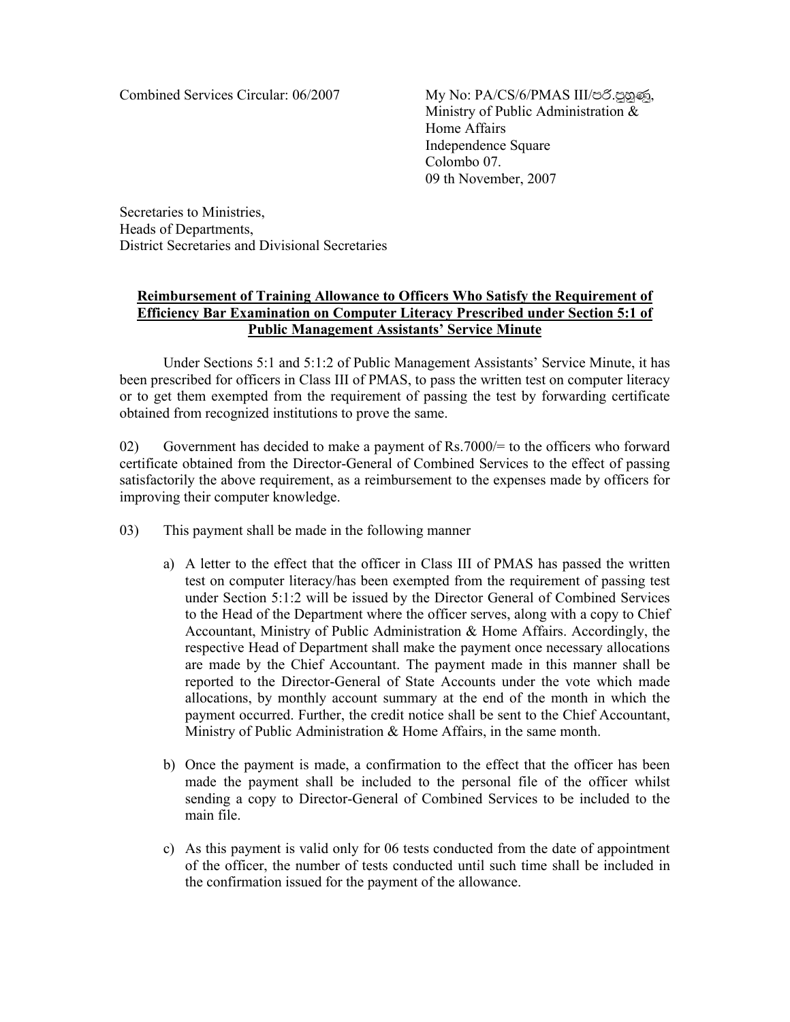Combined Services Circular: 06/2007 My No: PA/CS/6/PMAS III/��.��, Ministry of Public Administration & Home Affairs Independence Square Colombo 07. 09 th November, 2007

Secretaries to Ministries, Heads of Departments, District Secretaries and Divisional Secretaries

## **Reimbursement of Training Allowance to Officers Who Satisfy the Requirement of Efficiency Bar Examination on Computer Literacy Prescribed under Section 5:1 of Public Management Assistants' Service Minute**

 Under Sections 5:1 and 5:1:2 of Public Management Assistants' Service Minute, it has been prescribed for officers in Class III of PMAS, to pass the written test on computer literacy or to get them exempted from the requirement of passing the test by forwarding certificate obtained from recognized institutions to prove the same.

02) Government has decided to make a payment of Rs.7000/= to the officers who forward certificate obtained from the Director-General of Combined Services to the effect of passing satisfactorily the above requirement, as a reimbursement to the expenses made by officers for improving their computer knowledge.

- 03) This payment shall be made in the following manner
	- a) A letter to the effect that the officer in Class III of PMAS has passed the written test on computer literacy/has been exempted from the requirement of passing test under Section 5:1:2 will be issued by the Director General of Combined Services to the Head of the Department where the officer serves, along with a copy to Chief Accountant, Ministry of Public Administration & Home Affairs. Accordingly, the respective Head of Department shall make the payment once necessary allocations are made by the Chief Accountant. The payment made in this manner shall be reported to the Director-General of State Accounts under the vote which made allocations, by monthly account summary at the end of the month in which the payment occurred. Further, the credit notice shall be sent to the Chief Accountant, Ministry of Public Administration & Home Affairs, in the same month.
	- b) Once the payment is made, a confirmation to the effect that the officer has been made the payment shall be included to the personal file of the officer whilst sending a copy to Director-General of Combined Services to be included to the main file.
	- c) As this payment is valid only for 06 tests conducted from the date of appointment of the officer, the number of tests conducted until such time shall be included in the confirmation issued for the payment of the allowance.